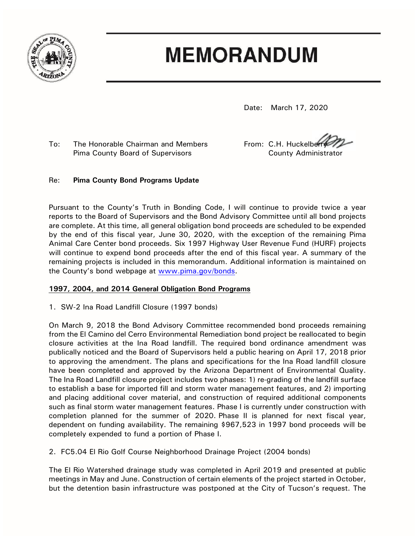

# **MEMORANDUM**

Date: March 17, 2020

To: The Honorable Chairman and Members From: C.H. Huckelber Pima County Board of Supervisors County Administrator

# Re: **Pima County Bond Programs Update**

Pursuant to the County's Truth in Bonding Code, I will continue to provide twice a year reports to the Board of Supervisors and the Bond Advisory Committee until all bond projects are complete. At this time, all general obligation bond proceeds are scheduled to be expended by the end of this fiscal year, June 30, 2020, with the exception of the remaining Pima Animal Care Center bond proceeds. Six 1997 Highway User Revenue Fund (HURF) projects will continue to expend bond proceeds after the end of this fiscal year. A summary of the remaining projects is included in this memorandum. Additional information is maintained on the County's bond webpage at [www.pima.gov/bonds.](http://www.pima.gov/bonds)

# **1997, 2004, and 2014 General Obligation Bond Programs**

1. SW-2 Ina Road Landfill Closure (1997 bonds)

On March 9, 2018 the Bond Advisory Committee recommended bond proceeds remaining from the El Camino del Cerro Environmental Remediation bond project be reallocated to begin closure activities at the Ina Road landfill. The required bond ordinance amendment was publically noticed and the Board of Supervisors held a public hearing on April 17, 2018 prior to approving the amendment. The plans and specifications for the Ina Road landfill closure have been completed and approved by the Arizona Department of Environmental Quality. The Ina Road Landfill closure project includes two phases: 1) re-grading of the landfill surface to establish a base for imported fill and storm water management features, and 2) importing and placing additional cover material, and construction of required additional components such as final storm water management features. Phase I is currently under construction with completion planned for the summer of 2020. Phase II is planned for next fiscal year, dependent on funding availability. The remaining \$967,523 in 1997 bond proceeds will be completely expended to fund a portion of Phase I.

2. FC5.04 El Rio Golf Course Neighborhood Drainage Project (2004 bonds)

The El Rio Watershed drainage study was completed in April 2019 and presented at public meetings in May and June. Construction of certain elements of the project started in October, but the detention basin infrastructure was postponed at the City of Tucson's request. The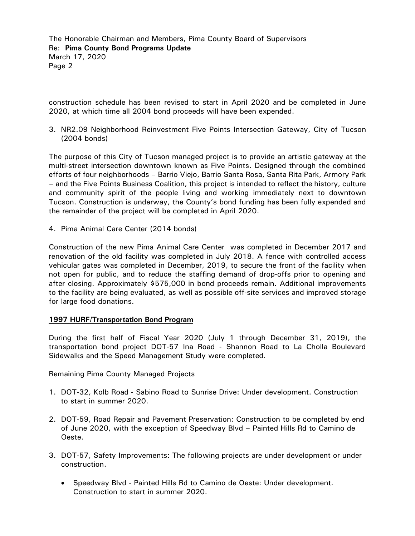The Honorable Chairman and Members, Pima County Board of Supervisors Re: **Pima County Bond Programs Update** March 17, 2020 Page 2

construction schedule has been revised to start in April 2020 and be completed in June 2020, at which time all 2004 bond proceeds will have been expended.

3. NR2.09 Neighborhood Reinvestment Five Points Intersection Gateway, City of Tucson (2004 bonds)

The purpose of this City of Tucson managed project is to provide an artistic gateway at the multi-street intersection downtown known as Five Points. Designed through the combined efforts of four neighborhoods – Barrio Viejo, Barrio Santa Rosa, Santa Rita Park, Armory Park – and the Five Points Business Coalition, this project is intended to reflect the history, culture and community spirit of the people living and working immediately next to downtown Tucson. Construction is underway, the County's bond funding has been fully expended and the remainder of the project will be completed in April 2020.

4. Pima Animal Care Center (2014 bonds)

Construction of the new Pima Animal Care Center was completed in December 2017 and renovation of the old facility was completed in July 2018. A fence with controlled access vehicular gates was completed in December, 2019, to secure the front of the facility when not open for public, and to reduce the staffing demand of drop-offs prior to opening and after closing. Approximately \$575,000 in bond proceeds remain. Additional improvements to the facility are being evaluated, as well as possible off-site services and improved storage for large food donations.

### **1997 HURF/Transportation Bond Program**

During the first half of Fiscal Year 2020 (July 1 through December 31, 2019), the transportation bond project DOT-57 Ina Road - Shannon Road to La Cholla Boulevard Sidewalks and the Speed Management Study were completed.

### Remaining Pima County Managed Projects

- 1. DOT-32, Kolb Road Sabino Road to Sunrise Drive: Under development. Construction to start in summer 2020.
- 2. DOT-59, Road Repair and Pavement Preservation: Construction to be completed by end of June 2020, with the exception of Speedway Blvd – Painted Hills Rd to Camino de Oeste.
- 3. DOT-57, Safety Improvements: The following projects are under development or under construction.
	- Speedway Blvd Painted Hills Rd to Camino de Oeste: Under development. Construction to start in summer 2020.